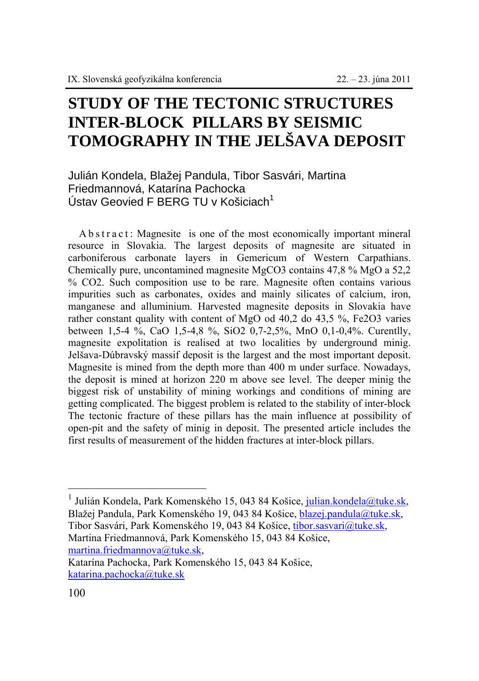## **STUDY OF THE TECTONIC STRUCTURES INTER-BLOCK PILLARS BY SEISMIC TOMOGRAPHY IN THE JELŠAVA DEPOSIT**

## Julián Kondela, Blažej Pandula, Tibor Sasvári, Martina Friedmannová, Katarína Pachocka Ústav Geovied F BERG TU v Košiciach $1$

A b s t r a c t : Magnesite is one of the most economically important mineral resource in Slovakia. The largest deposits of magnesite are situated in carboniferous carbonate layers in Gemericum of Western Carpathians. Chemically pure, uncontamined magnesite MgCO3 contains 47,8 % MgO a 52,2 % CO2. Such composition use to be rare. Magnesite often contains various impurities such as carbonates, oxides and mainly silicates of calcium, iron, manganese and alluminium. Harvested magnesite deposits in Slovakia have rather constant quality with content of MgO od 40,2 do 43,5 %, Fe2O3 varies between 1,5-4 %, CaO 1,5-4,8 %, SiO2 0,7-2,5%, MnO 0,1-0,4%. Curentlly, magnesite expolitation is realised at two localities by underground minig. Jelšava-Dúbravský massif deposit is the largest and the most important deposit. Magnesite is mined from the depth more than 400 m under surface. Nowadays, the deposit is mined at horizon 220 m above see level. The deeper minig the biggest risk of unstability of mining workings and conditions of mining are getting complicated. The biggest problem is related to the stability of inter-block The tectonic fracture of these pillars has the main influence at possibility of open-pit and the safety of minig in deposit. The presented article includes the first results of measurement of the hidden fractures at inter-block pillars.

 $\overline{a}$ 

<sup>&</sup>lt;sup>1</sup> Julián Kondela, Park Komenského 15, 043 84 Košice, julian.kondela@tuke.sk, Blažej Pandula, Park Komenského 19, 043 84 Košice, blazej.pandula@tuke.sk, Tibor Sasvári, Park Komenského 19, 043 84 Košice, tibor.sasvari@tuke.sk, Martina Friedmannová, Park Komenského 15, 043 84 Košice, martina.friedmannova@tuke.sk,

Katarína Pachocka, Park Komenského 15, 043 84 Košice, katarina.pachocka@tuke.sk